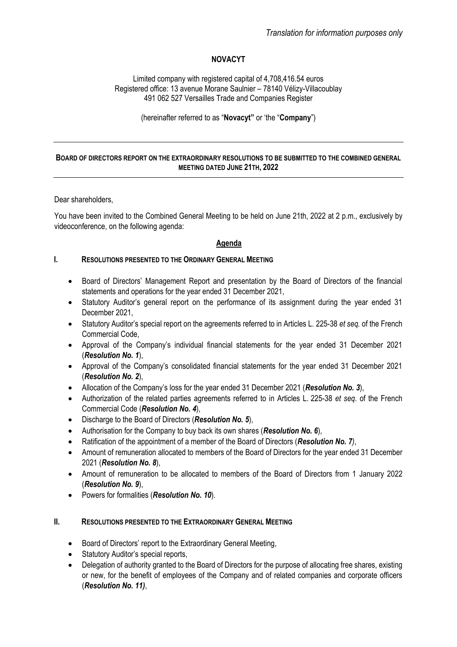# **NOVACYT**

Limited company with registered capital of 4,708,416.54 euros Registered office: 13 avenue Morane Saulnier – 78140 Vélizy-Villacoublay 491 062 527 Versailles Trade and Companies Register

(hereinafter referred to as "**Novacyt"** or 'the "**Company**")

#### **BOARD OF DIRECTORS REPORT ON THE EXTRAORDINARY RESOLUTIONS TO BE SUBMITTED TO THE COMBINED GENERAL MEETING DATED JUNE 21TH, 2022**

Dear shareholders,

You have been invited to the Combined General Meeting to be held on June 21th, 2022 at 2 p.m., exclusively by videoconference, on the following agenda:

# **Agenda**

#### **I. RESOLUTIONS PRESENTED TO THE ORDINARY GENERAL MEETING**

- Board of Directors' Management Report and presentation by the Board of Directors of the financial statements and operations for the year ended 31 December 2021,
- Statutory Auditor's general report on the performance of its assignment during the year ended 31 December 2021,
- Statutory Auditor's special report on the agreements referred to in Articles L. 225-38 *et seq.* of the French Commercial Code,
- Approval of the Company's individual financial statements for the year ended 31 December 2021 (*Resolution No. 1*),
- Approval of the Company's consolidated financial statements for the year ended 31 December 2021 (*Resolution No. 2*),
- Allocation of the Company's loss for the year ended 31 December 2021 (*Resolution No. 3*),
- Authorization of the related parties agreements referred to in Articles L. 225-38 *et seq*. of the French Commercial Code (*Resolution No. 4*),
- Discharge to the Board of Directors (*Resolution No. 5*),
- Authorisation for the Company to buy back its own shares (*Resolution No. 6*),
- Ratification of the appointment of a member of the Board of Directors (*Resolution No. 7)*,
- Amount of remuneration allocated to members of the Board of Directors for the year ended 31 December 2021 (*Resolution No. 8*),
- Amount of remuneration to be allocated to members of the Board of Directors from 1 January 2022 (*Resolution No. 9*),
- Powers for formalities (*Resolution No. 10*).

# **II. RESOLUTIONS PRESENTED TO THE EXTRAORDINARY GENERAL MEETING**

- Board of Directors' report to the Extraordinary General Meeting,
- Statutory Auditor's special reports,
- Delegation of authority granted to the Board of Directors for the purpose of allocating free shares, existing or new, for the benefit of employees of the Company and of related companies and corporate officers (*Resolution No. 11)*,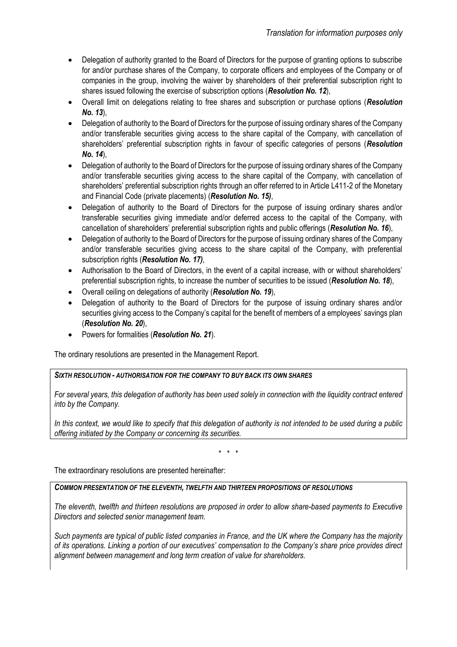- Delegation of authority granted to the Board of Directors for the purpose of granting options to subscribe for and/or purchase shares of the Company, to corporate officers and employees of the Company or of companies in the group, involving the waiver by shareholders of their preferential subscription right to shares issued following the exercise of subscription options (*Resolution No. 12*),
- Overall limit on delegations relating to free shares and subscription or purchase options (*Resolution No. 13*),
- Delegation of authority to the Board of Directors for the purpose of issuing ordinary shares of the Company and/or transferable securities giving access to the share capital of the Company, with cancellation of shareholders' preferential subscription rights in favour of specific categories of persons (*Resolution No. 14*),
- Delegation of authority to the Board of Directors for the purpose of issuing ordinary shares of the Company and/or transferable securities giving access to the share capital of the Company, with cancellation of shareholders' preferential subscription rights through an offer referred to in Article L411-2 of the Monetary and Financial Code (private placements) (*Resolution No. 15)*,
- Delegation of authority to the Board of Directors for the purpose of issuing ordinary shares and/or transferable securities giving immediate and/or deferred access to the capital of the Company, with cancellation of shareholders' preferential subscription rights and public offerings (*Resolution No. 16*),
- Delegation of authority to the Board of Directors for the purpose of issuing ordinary shares of the Company and/or transferable securities giving access to the share capital of the Company, with preferential subscription rights (*Resolution No. 17)*,
- Authorisation to the Board of Directors, in the event of a capital increase, with or without shareholders' preferential subscription rights, to increase the number of securities to be issued (*Resolution No. 18*),
- Overall ceiling on delegations of authority (*Resolution No. 19*),
- Delegation of authority to the Board of Directors for the purpose of issuing ordinary shares and/or securities giving access to the Company's capital for the benefit of members of a employees' savings plan (*Resolution No. 20*),
- Powers for formalities (*Resolution No. 21*).

The ordinary resolutions are presented in the Management Report.

# *SIXTH RESOLUTION - AUTHORISATION FOR THE COMPANY TO BUY BACK ITS OWN SHARES*

*For several years, this delegation of authority has been used solely in connection with the liquidity contract entered into by the Company.*

In this context, we would like to specify that this delegation of authority is not intended to be used during a public *offering initiated by the Company or concerning its securities.*

\* \* \*

The extraordinary resolutions are presented hereinafter:

# *COMMON PRESENTATION OF THE ELEVENTH, TWELFTH AND THIRTEEN PROPOSITIONS OF RESOLUTIONS*

*The eleventh, twelfth and thirteen resolutions are proposed in order to allow share-based payments to Executive Directors and selected senior management team.* 

*Such payments are typical of public listed companies in France, and the UK where the Company has the majority of its operations. Linking a portion of our executives' compensation to the Company's share price provides direct alignment between management and long term creation of value for shareholders.*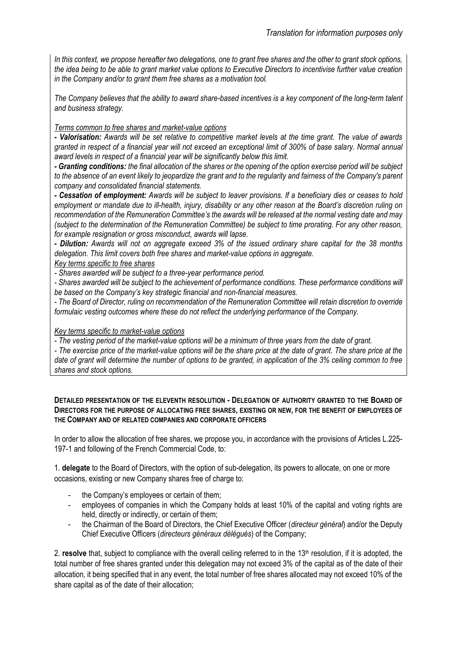*In this context, we propose hereafter two delegations, one to grant free shares and the other to grant stock options, the idea being to be able to grant market value options to Executive Directors to incentivise further value creation in the Company and/or to grant them free shares as a motivation tool.*

*The Company believes that the ability to award share-based incentives is a key component of the long-term talent and business strategy.*

# *Terms common to free shares and market-value options*

*- Valorisation: Awards will be set relative to competitive market levels at the time grant. The value of awards granted in respect of a financial year will not exceed an exceptional limit of 300% of base salary. Normal annual award levels in respect of a financial year will be significantly below this limit.*

*- Granting conditions: the final allocation of the shares or the opening of the option exercise period will be subject to the absence of an event likely to jeopardize the grant and to the regularity and fairness of the Company's parent company and consolidated financial statements.*

*- Cessation of employment: Awards will be subject to leaver provisions. If a beneficiary dies or ceases to hold employment or mandate due to ill-health, injury, disability or any other reason at the Board's discretion ruling on recommendation of the Remuneration Committee's the awards will be released at the normal vesting date and may (subject to the determination of the Remuneration Committee) be subject to time prorating. For any other reason, for example resignation or gross misconduct, awards will lapse.*

*- Dilution: Awards will not on aggregate exceed 3% of the issued ordinary share capital for the 38 months delegation. This limit covers both free shares and market-value options in aggregate.*

# *Key terms specific to free shares*

*- Shares awarded will be subject to a three-year performance period.*

*- Shares awarded will be subject to the achievement of performance conditions. These performance conditions will be based on the Company's key strategic financial and non-financial measures.*

*- The Board of Director, ruling on recommendation of the Remuneration Committee will retain discretion to override formulaic vesting outcomes where these do not reflect the underlying performance of the Company.* 

# *Key terms specific to market-value options*

*- The vesting period of the market-value options will be a minimum of three years from the date of grant.* 

*- The exercise price of the market-value options will be the share price at the date of grant. The share price at the date of grant will determine the number of options to be granted, in application of the 3% ceiling common to free shares and stock options.*

#### **DETAILED PRESENTATION OF THE ELEVENTH RESOLUTION - DELEGATION OF AUTHORITY GRANTED TO THE BOARD OF DIRECTORS FOR THE PURPOSE OF ALLOCATING FREE SHARES, EXISTING OR NEW, FOR THE BENEFIT OF EMPLOYEES OF THE COMPANY AND OF RELATED COMPANIES AND CORPORATE OFFICERS**

In order to allow the allocation of free shares, we propose you, in accordance with the provisions of Articles L.225- 197-1 and following of the French Commercial Code, to:

1. **delegate** to the Board of Directors, with the option of sub-delegation, its powers to allocate, on one or more occasions, existing or new Company shares free of charge to:

- the Company's employees or certain of them;
- employees of companies in which the Company holds at least 10% of the capital and voting rights are held, directly or indirectly, or certain of them;
- the Chairman of the Board of Directors, the Chief Executive Officer (*directeur général*) and/or the Deputy Chief Executive Officers (*directeurs généraux délégués*) of the Company;

2. **resolve** that, subject to compliance with the overall ceiling referred to in the 13th resolution, if it is adopted, the total number of free shares granted under this delegation may not exceed 3% of the capital as of the date of their allocation, it being specified that in any event, the total number of free shares allocated may not exceed 10% of the share capital as of the date of their allocation;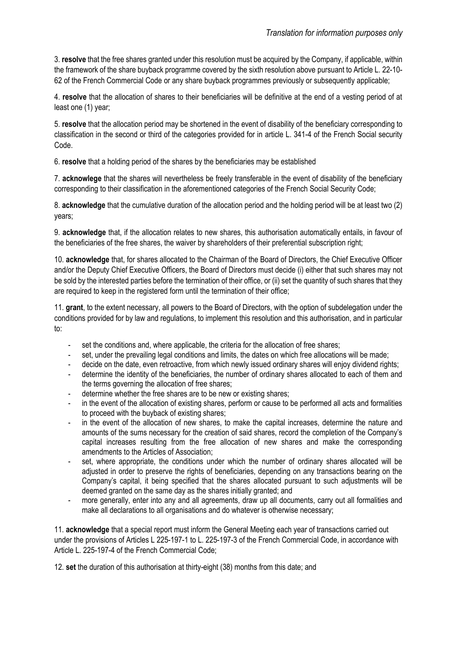3. **resolve** that the free shares granted under this resolution must be acquired by the Company, if applicable, within the framework of the share buyback programme covered by the sixth resolution above pursuant to Article L. 22-10- 62 of the French Commercial Code or any share buyback programmes previously or subsequently applicable;

4. **resolve** that the allocation of shares to their beneficiaries will be definitive at the end of a vesting period of at least one (1) year;

5. **resolve** that the allocation period may be shortened in the event of disability of the beneficiary corresponding to classification in the second or third of the categories provided for in article L. 341-4 of the French Social security Code.

6. **resolve** that a holding period of the shares by the beneficiaries may be established

7. **acknowlege** that the shares will nevertheless be freely transferable in the event of disability of the beneficiary corresponding to their classification in the aforementioned categories of the French Social Security Code;

8. **acknowledge** that the cumulative duration of the allocation period and the holding period will be at least two (2) years;

9. **acknowledge** that, if the allocation relates to new shares, this authorisation automatically entails, in favour of the beneficiaries of the free shares, the waiver by shareholders of their preferential subscription right;

10. **acknowledge** that, for shares allocated to the Chairman of the Board of Directors, the Chief Executive Officer and/or the Deputy Chief Executive Officers, the Board of Directors must decide (i) either that such shares may not be sold by the interested parties before the termination of their office, or (ii) set the quantity of such shares that they are required to keep in the registered form until the termination of their office:

11. **grant**, to the extent necessary, all powers to the Board of Directors, with the option of subdelegation under the conditions provided for by law and regulations, to implement this resolution and this authorisation, and in particular to:

- set the conditions and, where applicable, the criteria for the allocation of free shares;
- set, under the prevailing legal conditions and limits, the dates on which free allocations will be made;
- decide on the date, even retroactive, from which newly issued ordinary shares will enjoy dividend rights;
- determine the identity of the beneficiaries, the number of ordinary shares allocated to each of them and the terms governing the allocation of free shares;
- determine whether the free shares are to be new or existing shares;
- in the event of the allocation of existing shares, perform or cause to be performed all acts and formalities to proceed with the buyback of existing shares;
- in the event of the allocation of new shares, to make the capital increases, determine the nature and amounts of the sums necessary for the creation of said shares, record the completion of the Company's capital increases resulting from the free allocation of new shares and make the corresponding amendments to the Articles of Association;
- set, where appropriate, the conditions under which the number of ordinary shares allocated will be adjusted in order to preserve the rights of beneficiaries, depending on any transactions bearing on the Company's capital, it being specified that the shares allocated pursuant to such adjustments will be deemed granted on the same day as the shares initially granted; and
- more generally, enter into any and all agreements, draw up all documents, carry out all formalities and make all declarations to all organisations and do whatever is otherwise necessary;

11. **acknowledge** that a special report must inform the General Meeting each year of transactions carried out under the provisions of Articles L 225-197-1 to L. 225-197-3 of the French Commercial Code, in accordance with Article L. 225-197-4 of the French Commercial Code;

12. **set** the duration of this authorisation at thirty-eight (38) months from this date; and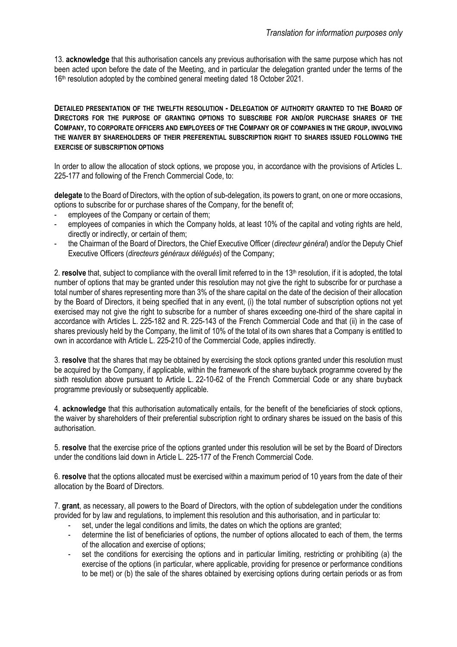13. **acknowledge** that this authorisation cancels any previous authorisation with the same purpose which has not been acted upon before the date of the Meeting, and in particular the delegation granted under the terms of the 16<sup>th</sup> resolution adopted by the combined general meeting dated 18 October 2021.

**DETAILED PRESENTATION OF THE TWELFTH RESOLUTION - DELEGATION OF AUTHORITY GRANTED TO THE BOARD OF DIRECTORS FOR THE PURPOSE OF GRANTING OPTIONS TO SUBSCRIBE FOR AND/OR PURCHASE SHARES OF THE COMPANY, TO CORPORATE OFFICERS AND EMPLOYEES OF THE COMPANY OR OF COMPANIES IN THE GROUP, INVOLVING THE WAIVER BY SHAREHOLDERS OF THEIR PREFERENTIAL SUBSCRIPTION RIGHT TO SHARES ISSUED FOLLOWING THE EXERCISE OF SUBSCRIPTION OPTIONS** 

In order to allow the allocation of stock options, we propose you, in accordance with the provisions of Articles L. 225-177 and following of the French Commercial Code, to:

**delegate** to the Board of Directors, with the option of sub-delegation, its powers to grant, on one or more occasions, options to subscribe for or purchase shares of the Company, for the benefit of;

- employees of the Company or certain of them;
- employees of companies in which the Company holds, at least 10% of the capital and voting rights are held, directly or indirectly, or certain of them;
- the Chairman of the Board of Directors, the Chief Executive Officer (*directeur général*) and/or the Deputy Chief Executive Officers (*directeurs généraux délégués*) of the Company;

2. **resolve** that, subject to compliance with the overall limit referred to in the 13<sup>th</sup> resolution, if it is adopted, the total number of options that may be granted under this resolution may not give the right to subscribe for or purchase a total number of shares representing more than 3% of the share capital on the date of the decision of their allocation by the Board of Directors, it being specified that in any event, (i) the total number of subscription options not yet exercised may not give the right to subscribe for a number of shares exceeding one-third of the share capital in accordance with Articles L. 225-182 and R. 225-143 of the French Commercial Code and that (ii) in the case of shares previously held by the Company, the limit of 10% of the total of its own shares that a Company is entitled to own in accordance with Article L. 225-210 of the Commercial Code, applies indirectly.

3. **resolve** that the shares that may be obtained by exercising the stock options granted under this resolution must be acquired by the Company, if applicable, within the framework of the share buyback programme covered by the sixth resolution above pursuant to Article L. 22-10-62 of the French Commercial Code or any share buyback programme previously or subsequently applicable.

4. **acknowledge** that this authorisation automatically entails, for the benefit of the beneficiaries of stock options, the waiver by shareholders of their preferential subscription right to ordinary shares be issued on the basis of this authorisation.

5. **resolve** that the exercise price of the options granted under this resolution will be set by the Board of Directors under the conditions laid down in Article L. 225-177 of the French Commercial Code.

6. **resolve** that the options allocated must be exercised within a maximum period of 10 years from the date of their allocation by the Board of Directors.

7. **grant**, as necessary, all powers to the Board of Directors, with the option of subdelegation under the conditions provided for by law and regulations, to implement this resolution and this authorisation, and in particular to:

- set, under the legal conditions and limits, the dates on which the options are granted;
- determine the list of beneficiaries of options, the number of options allocated to each of them, the terms of the allocation and exercise of options;
- set the conditions for exercising the options and in particular limiting, restricting or prohibiting (a) the exercise of the options (in particular, where applicable, providing for presence or performance conditions to be met) or (b) the sale of the shares obtained by exercising options during certain periods or as from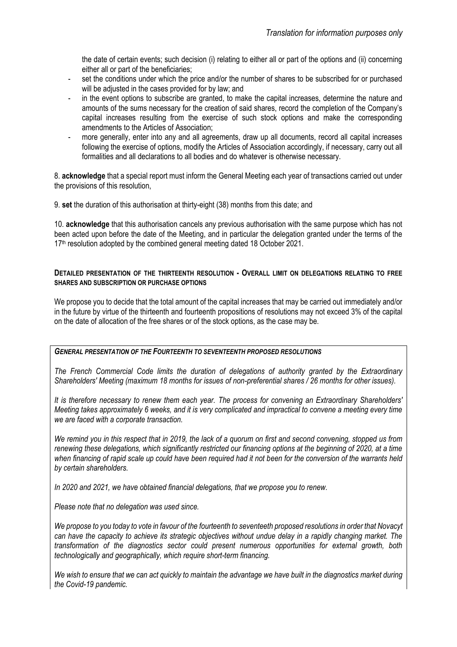the date of certain events; such decision (i) relating to either all or part of the options and (ii) concerning either all or part of the beneficiaries;

- set the conditions under which the price and/or the number of shares to be subscribed for or purchased will be adjusted in the cases provided for by law; and
- in the event options to subscribe are granted, to make the capital increases, determine the nature and amounts of the sums necessary for the creation of said shares, record the completion of the Company's capital increases resulting from the exercise of such stock options and make the corresponding amendments to the Articles of Association;
- more generally, enter into any and all agreements, draw up all documents, record all capital increases following the exercise of options, modify the Articles of Association accordingly, if necessary, carry out all formalities and all declarations to all bodies and do whatever is otherwise necessary.

8. **acknowledge** that a special report must inform the General Meeting each year of transactions carried out under the provisions of this resolution,

9. **set** the duration of this authorisation at thirty-eight (38) months from this date; and

10. **acknowledge** that this authorisation cancels any previous authorisation with the same purpose which has not been acted upon before the date of the Meeting, and in particular the delegation granted under the terms of the 17<sup>th</sup> resolution adopted by the combined general meeting dated 18 October 2021.

#### **DETAILED PRESENTATION OF THE THIRTEENTH RESOLUTION - OVERALL LIMIT ON DELEGATIONS RELATING TO FREE SHARES AND SUBSCRIPTION OR PURCHASE OPTIONS**

We propose you to decide that the total amount of the capital increases that may be carried out immediately and/or in the future by virtue of the thirteenth and fourteenth propositions of resolutions may not exceed 3% of the capital on the date of allocation of the free shares or of the stock options, as the case may be.

#### *GENERAL PRESENTATION OF THE FOURTEENTH TO SEVENTEENTH PROPOSED RESOLUTIONS*

*The French Commercial Code limits the duration of delegations of authority granted by the Extraordinary Shareholders' Meeting (maximum 18 months for issues of non-preferential shares / 26 months for other issues).* 

*It is therefore necessary to renew them each year. The process for convening an Extraordinary Shareholders' Meeting takes approximately 6 weeks, and it is very complicated and impractical to convene a meeting every time we are faced with a corporate transaction.*

*We remind you in this respect that in 2019, the lack of a quorum on first and second convening, stopped us from renewing these delegations, which significantly restricted our financing options at the beginning of 2020, at a time when financing of rapid scale up could have been required had it not been for the conversion of the warrants held by certain shareholders.* 

*In 2020 and 2021, we have obtained financial delegations, that we propose you to renew.* 

*Please note that no delegation was used since.*

*We propose to you today to vote in favour of the fourteenth to seventeeth proposed resolutions in order that Novacyt can have the capacity to achieve its strategic objectives without undue delay in a rapidly changing market. The transformation of the diagnostics sector could present numerous opportunities for external growth, both technologically and geographically, which require short-term financing.* 

*We wish to ensure that we can act quickly to maintain the advantage we have built in the diagnostics market during the Covid-19 pandemic.*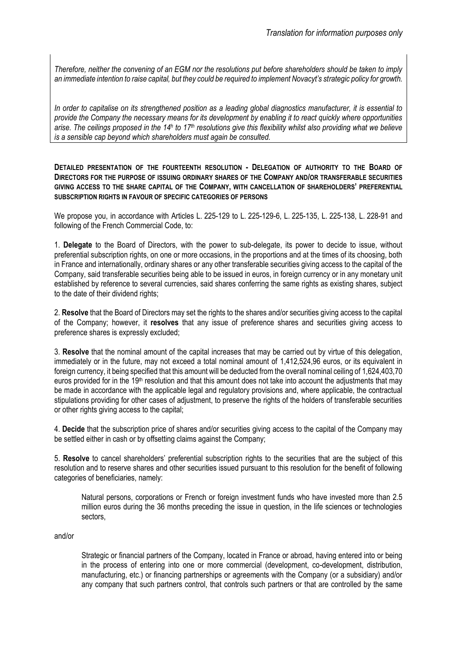*Therefore, neither the convening of an EGM nor the resolutions put before shareholders should be taken to imply an immediate intention to raise capital, but they could be required to implement Novacyt's strategic policy for growth.* 

*In order to capitalise on its strengthened position as a leading global diagnostics manufacturer, it is essential to provide the Company the necessary means for its development by enabling it to react quickly where opportunities arise. The ceilings proposed in the 14<sup>h</sup> to 17th resolutions give this flexibility whilst also providing what we believe is a sensible cap beyond which shareholders must again be consulted.*

**DETAILED PRESENTATION OF THE FOURTEENTH RESOLUTION - DELEGATION OF AUTHORITY TO THE BOARD OF DIRECTORS FOR THE PURPOSE OF ISSUING ORDINARY SHARES OF THE COMPANY AND/OR TRANSFERABLE SECURITIES GIVING ACCESS TO THE SHARE CAPITAL OF THE COMPANY, WITH CANCELLATION OF SHAREHOLDERS' PREFERENTIAL SUBSCRIPTION RIGHTS IN FAVOUR OF SPECIFIC CATEGORIES OF PERSONS**

We propose you, in accordance with Articles L. 225-129 to L. 225-129-6, L. 225-135, L. 225-138, L. 228-91 and following of the French Commercial Code, to:

1. **Delegate** to the Board of Directors, with the power to sub-delegate, its power to decide to issue, without preferential subscription rights, on one or more occasions, in the proportions and at the times of its choosing, both in France and internationally, ordinary shares or any other transferable securities giving access to the capital of the Company, said transferable securities being able to be issued in euros, in foreign currency or in any monetary unit established by reference to several currencies, said shares conferring the same rights as existing shares, subject to the date of their dividend rights;

2. **Resolve** that the Board of Directors may set the rights to the shares and/or securities giving access to the capital of the Company; however, it **resolves** that any issue of preference shares and securities giving access to preference shares is expressly excluded;

3. **Resolve** that the nominal amount of the capital increases that may be carried out by virtue of this delegation, immediately or in the future, may not exceed a total nominal amount of 1,412,524,96 euros, or its equivalent in foreign currency, it being specified that this amount will be deducted from the overall nominal ceiling of 1,624,403,70 euros provided for in the 19<sup>th</sup> resolution and that this amount does not take into account the adjustments that may be made in accordance with the applicable legal and regulatory provisions and, where applicable, the contractual stipulations providing for other cases of adjustment, to preserve the rights of the holders of transferable securities or other rights giving access to the capital;

4. **Decide** that the subscription price of shares and/or securities giving access to the capital of the Company may be settled either in cash or by offsetting claims against the Company;

5. **Resolve** to cancel shareholders' preferential subscription rights to the securities that are the subject of this resolution and to reserve shares and other securities issued pursuant to this resolution for the benefit of following categories of beneficiaries, namely:

Natural persons, corporations or French or foreign investment funds who have invested more than 2.5 million euros during the 36 months preceding the issue in question, in the life sciences or technologies sectors,

and/or

Strategic or financial partners of the Company, located in France or abroad, having entered into or being in the process of entering into one or more commercial (development, co-development, distribution, manufacturing, etc.) or financing partnerships or agreements with the Company (or a subsidiary) and/or any company that such partners control, that controls such partners or that are controlled by the same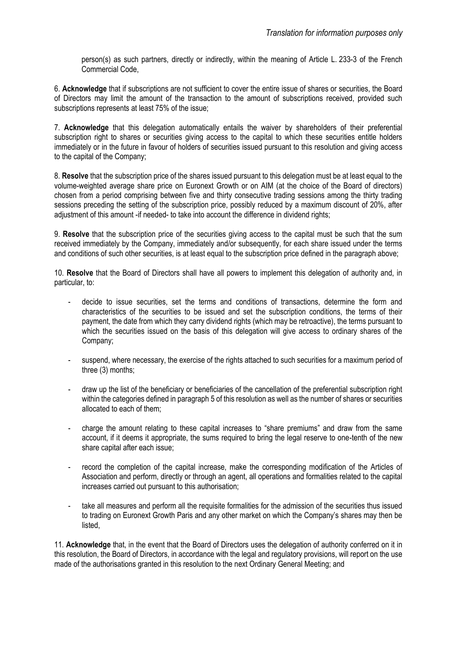person(s) as such partners, directly or indirectly, within the meaning of Article L. 233-3 of the French Commercial Code,

6. **Acknowledge** that if subscriptions are not sufficient to cover the entire issue of shares or securities, the Board of Directors may limit the amount of the transaction to the amount of subscriptions received, provided such subscriptions represents at least 75% of the issue;

7. **Acknowledge** that this delegation automatically entails the waiver by shareholders of their preferential subscription right to shares or securities giving access to the capital to which these securities entitle holders immediately or in the future in favour of holders of securities issued pursuant to this resolution and giving access to the capital of the Company;

8. **Resolve** that the subscription price of the shares issued pursuant to this delegation must be at least equal to the volume-weighted average share price on Euronext Growth or on AIM (at the choice of the Board of directors) chosen from a period comprising between five and thirty consecutive trading sessions among the thirty trading sessions preceding the setting of the subscription price, possibly reduced by a maximum discount of 20%, after adjustment of this amount -if needed- to take into account the difference in dividend rights;

9. **Resolve** that the subscription price of the securities giving access to the capital must be such that the sum received immediately by the Company, immediately and/or subsequently, for each share issued under the terms and conditions of such other securities, is at least equal to the subscription price defined in the paragraph above;

10. **Resolve** that the Board of Directors shall have all powers to implement this delegation of authority and, in particular, to:

- decide to issue securities, set the terms and conditions of transactions, determine the form and characteristics of the securities to be issued and set the subscription conditions, the terms of their payment, the date from which they carry dividend rights (which may be retroactive), the terms pursuant to which the securities issued on the basis of this delegation will give access to ordinary shares of the Company;
- suspend, where necessary, the exercise of the rights attached to such securities for a maximum period of three (3) months;
- draw up the list of the beneficiary or beneficiaries of the cancellation of the preferential subscription right within the categories defined in paragraph 5 of this resolution as well as the number of shares or securities allocated to each of them;
- charge the amount relating to these capital increases to "share premiums" and draw from the same account, if it deems it appropriate, the sums required to bring the legal reserve to one-tenth of the new share capital after each issue;
- record the completion of the capital increase, make the corresponding modification of the Articles of Association and perform, directly or through an agent, all operations and formalities related to the capital increases carried out pursuant to this authorisation;
- take all measures and perform all the requisite formalities for the admission of the securities thus issued to trading on Euronext Growth Paris and any other market on which the Company's shares may then be listed,

11. **Acknowledge** that, in the event that the Board of Directors uses the delegation of authority conferred on it in this resolution, the Board of Directors, in accordance with the legal and regulatory provisions, will report on the use made of the authorisations granted in this resolution to the next Ordinary General Meeting; and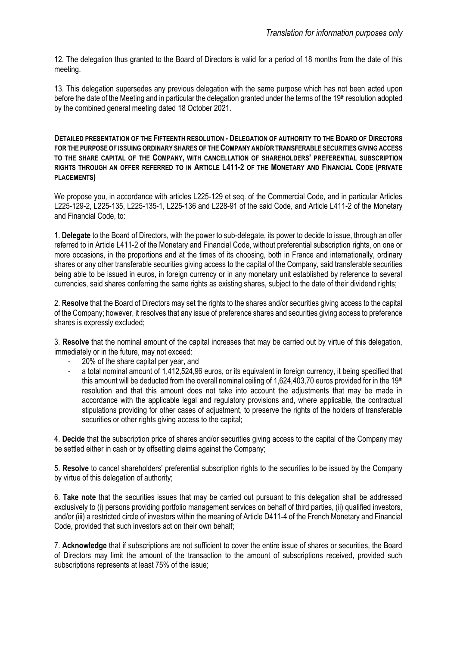12. The delegation thus granted to the Board of Directors is valid for a period of 18 months from the date of this meeting.

13. This delegation supersedes any previous delegation with the same purpose which has not been acted upon before the date of the Meeting and in particular the delegation granted under the terms of the 19<sup>th</sup> resolution adopted by the combined general meeting dated 18 October 2021.

**DETAILED PRESENTATION OF THE FIFTEENTH RESOLUTION - DELEGATION OF AUTHORITY TO THE BOARD OF DIRECTORS FOR THE PURPOSE OF ISSUING ORDINARY SHARES OF THE COMPANY AND/OR TRANSFERABLE SECURITIES GIVING ACCESS TO THE SHARE CAPITAL OF THE COMPANY, WITH CANCELLATION OF SHAREHOLDERS' PREFERENTIAL SUBSCRIPTION RIGHTS THROUGH AN OFFER REFERRED TO IN ARTICLE L411-2 OF THE MONETARY AND FINANCIAL CODE (PRIVATE PLACEMENTS)**

We propose you, in accordance with articles L225-129 et seq. of the Commercial Code, and in particular Articles L225-129-2, L225-135, L225-135-1, L225-136 and L228-91 of the said Code, and Article L411-2 of the Monetary and Financial Code, to:

1. **Delegate** to the Board of Directors, with the power to sub-delegate, its power to decide to issue, through an offer referred to in Article L411-2 of the Monetary and Financial Code, without preferential subscription rights, on one or more occasions, in the proportions and at the times of its choosing, both in France and internationally, ordinary shares or any other transferable securities giving access to the capital of the Company, said transferable securities being able to be issued in euros, in foreign currency or in any monetary unit established by reference to several currencies, said shares conferring the same rights as existing shares, subject to the date of their dividend rights;

2. **Resolve** that the Board of Directors may set the rights to the shares and/or securities giving access to the capital of the Company; however, it resolves that any issue of preference shares and securities giving access to preference shares is expressly excluded;

3. **Resolve** that the nominal amount of the capital increases that may be carried out by virtue of this delegation, immediately or in the future, may not exceed:

- 20% of the share capital per year, and
- a total nominal amount of 1,412,524,96 euros, or its equivalent in foreign currency, it being specified that this amount will be deducted from the overall nominal ceiling of 1,624,403,70 euros provided for in the 19th resolution and that this amount does not take into account the adjustments that may be made in accordance with the applicable legal and regulatory provisions and, where applicable, the contractual stipulations providing for other cases of adjustment, to preserve the rights of the holders of transferable securities or other rights giving access to the capital;

4. **Decide** that the subscription price of shares and/or securities giving access to the capital of the Company may be settled either in cash or by offsetting claims against the Company;

5. **Resolve** to cancel shareholders' preferential subscription rights to the securities to be issued by the Company by virtue of this delegation of authority;

6. **Take note** that the securities issues that may be carried out pursuant to this delegation shall be addressed exclusively to (i) persons providing portfolio management services on behalf of third parties, (ii) qualified investors, and/or (iii) a restricted circle of investors within the meaning of Article D411-4 of the French Monetary and Financial Code, provided that such investors act on their own behalf;

7. **Acknowledge** that if subscriptions are not sufficient to cover the entire issue of shares or securities, the Board of Directors may limit the amount of the transaction to the amount of subscriptions received, provided such subscriptions represents at least 75% of the issue;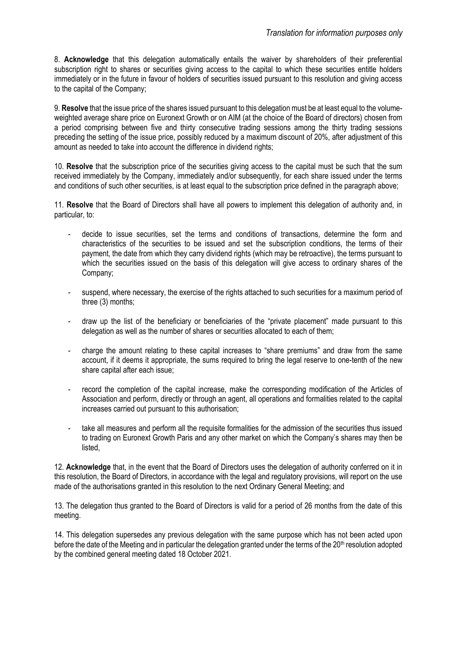8. **Acknowledge** that this delegation automatically entails the waiver by shareholders of their preferential subscription right to shares or securities giving access to the capital to which these securities entitle holders immediately or in the future in favour of holders of securities issued pursuant to this resolution and giving access to the capital of the Company;

9. **Resolve** that the issue price of the shares issued pursuant to this delegation must be at least equal to the volumeweighted average share price on Euronext Growth or on AIM (at the choice of the Board of directors) chosen from a period comprising between five and thirty consecutive trading sessions among the thirty trading sessions preceding the setting of the issue price, possibly reduced by a maximum discount of 20%, after adjustment of this amount as needed to take into account the difference in dividend rights;

10. **Resolve** that the subscription price of the securities giving access to the capital must be such that the sum received immediately by the Company, immediately and/or subsequently, for each share issued under the terms and conditions of such other securities, is at least equal to the subscription price defined in the paragraph above;

11. **Resolve** that the Board of Directors shall have all powers to implement this delegation of authority and, in particular, to:

- decide to issue securities, set the terms and conditions of transactions, determine the form and characteristics of the securities to be issued and set the subscription conditions, the terms of their payment, the date from which they carry dividend rights (which may be retroactive), the terms pursuant to which the securities issued on the basis of this delegation will give access to ordinary shares of the Company;
- suspend, where necessary, the exercise of the rights attached to such securities for a maximum period of three (3) months;
- draw up the list of the beneficiary or beneficiaries of the "private placement" made pursuant to this delegation as well as the number of shares or securities allocated to each of them;
- charge the amount relating to these capital increases to "share premiums" and draw from the same account, if it deems it appropriate, the sums required to bring the legal reserve to one-tenth of the new share capital after each issue;
- record the completion of the capital increase, make the corresponding modification of the Articles of Association and perform, directly or through an agent, all operations and formalities related to the capital increases carried out pursuant to this authorisation;
- take all measures and perform all the requisite formalities for the admission of the securities thus issued to trading on Euronext Growth Paris and any other market on which the Company's shares may then be listed,

12. **Acknowledge** that, in the event that the Board of Directors uses the delegation of authority conferred on it in this resolution, the Board of Directors, in accordance with the legal and regulatory provisions, will report on the use made of the authorisations granted in this resolution to the next Ordinary General Meeting; and

13. The delegation thus granted to the Board of Directors is valid for a period of 26 months from the date of this meeting.

14. This delegation supersedes any previous delegation with the same purpose which has not been acted upon before the date of the Meeting and in particular the delegation granted under the terms of the 20<sup>th</sup> resolution adopted by the combined general meeting dated 18 October 2021.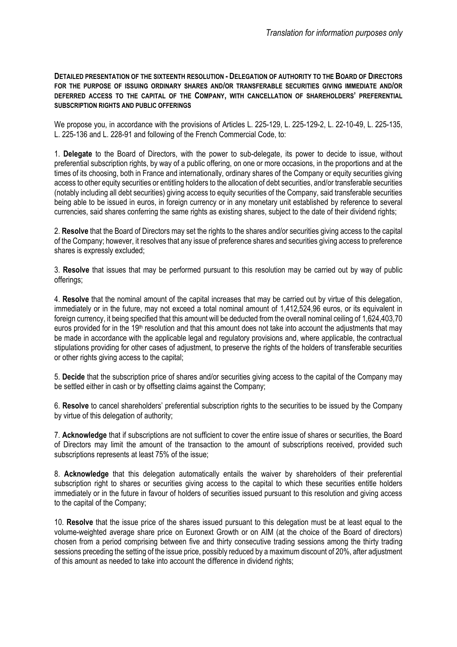**DETAILED PRESENTATION OF THE SIXTEENTH RESOLUTION - DELEGATION OF AUTHORITY TO THE BOARD OF DIRECTORS FOR THE PURPOSE OF ISSUING ORDINARY SHARES AND/OR TRANSFERABLE SECURITIES GIVING IMMEDIATE AND/OR DEFERRED ACCESS TO THE CAPITAL OF THE COMPANY, WITH CANCELLATION OF SHAREHOLDERS' PREFERENTIAL SUBSCRIPTION RIGHTS AND PUBLIC OFFERINGS**

We propose you, in accordance with the provisions of Articles L. 225-129, L. 225-129-2, L. 22-10-49, L. 225-135, L. 225-136 and L. 228-91 and following of the French Commercial Code, to:

1. **Delegate** to the Board of Directors, with the power to sub-delegate, its power to decide to issue, without preferential subscription rights, by way of a public offering, on one or more occasions, in the proportions and at the times of its choosing, both in France and internationally, ordinary shares of the Company or equity securities giving access to other equity securities or entitling holders to the allocation of debt securities, and/or transferable securities (notably including all debt securities) giving access to equity securities of the Company, said transferable securities being able to be issued in euros, in foreign currency or in any monetary unit established by reference to several currencies, said shares conferring the same rights as existing shares, subject to the date of their dividend rights;

2. **Resolve** that the Board of Directors may set the rights to the shares and/or securities giving access to the capital of the Company; however, it resolves that any issue of preference shares and securities giving access to preference shares is expressly excluded;

3. **Resolve** that issues that may be performed pursuant to this resolution may be carried out by way of public offerings;

4. **Resolve** that the nominal amount of the capital increases that may be carried out by virtue of this delegation, immediately or in the future, may not exceed a total nominal amount of 1,412,524,96 euros, or its equivalent in foreign currency, it being specified that this amount will be deducted from the overall nominal ceiling of 1,624,403,70 euros provided for in the 19<sup>th</sup> resolution and that this amount does not take into account the adjustments that may be made in accordance with the applicable legal and regulatory provisions and, where applicable, the contractual stipulations providing for other cases of adjustment, to preserve the rights of the holders of transferable securities or other rights giving access to the capital;

5. **Decide** that the subscription price of shares and/or securities giving access to the capital of the Company may be settled either in cash or by offsetting claims against the Company;

6. **Resolve** to cancel shareholders' preferential subscription rights to the securities to be issued by the Company by virtue of this delegation of authority;

7. **Acknowledge** that if subscriptions are not sufficient to cover the entire issue of shares or securities, the Board of Directors may limit the amount of the transaction to the amount of subscriptions received, provided such subscriptions represents at least 75% of the issue;

8. **Acknowledge** that this delegation automatically entails the waiver by shareholders of their preferential subscription right to shares or securities giving access to the capital to which these securities entitle holders immediately or in the future in favour of holders of securities issued pursuant to this resolution and giving access to the capital of the Company;

10. **Resolve** that the issue price of the shares issued pursuant to this delegation must be at least equal to the volume-weighted average share price on Euronext Growth or on AIM (at the choice of the Board of directors) chosen from a period comprising between five and thirty consecutive trading sessions among the thirty trading sessions preceding the setting of the issue price, possibly reduced by a maximum discount of 20%, after adjustment of this amount as needed to take into account the difference in dividend rights;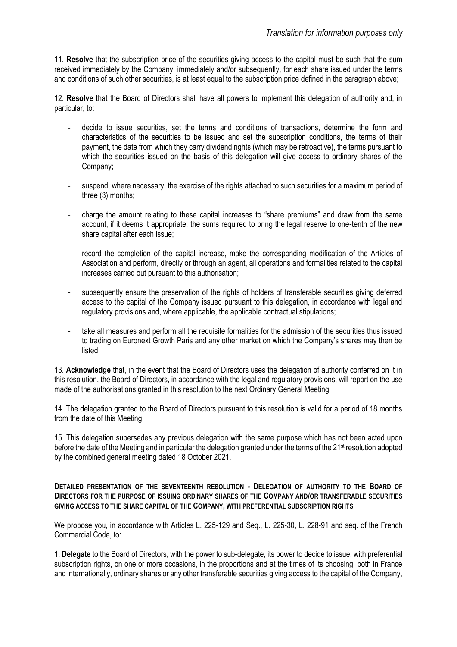11. **Resolve** that the subscription price of the securities giving access to the capital must be such that the sum received immediately by the Company, immediately and/or subsequently, for each share issued under the terms and conditions of such other securities, is at least equal to the subscription price defined in the paragraph above;

12. **Resolve** that the Board of Directors shall have all powers to implement this delegation of authority and, in particular, to:

- decide to issue securities, set the terms and conditions of transactions, determine the form and characteristics of the securities to be issued and set the subscription conditions, the terms of their payment, the date from which they carry dividend rights (which may be retroactive), the terms pursuant to which the securities issued on the basis of this delegation will give access to ordinary shares of the Company;
- suspend, where necessary, the exercise of the rights attached to such securities for a maximum period of three (3) months;
- charge the amount relating to these capital increases to "share premiums" and draw from the same account, if it deems it appropriate, the sums required to bring the legal reserve to one-tenth of the new share capital after each issue;
- record the completion of the capital increase, make the corresponding modification of the Articles of Association and perform, directly or through an agent, all operations and formalities related to the capital increases carried out pursuant to this authorisation;
- subsequently ensure the preservation of the rights of holders of transferable securities giving deferred access to the capital of the Company issued pursuant to this delegation, in accordance with legal and regulatory provisions and, where applicable, the applicable contractual stipulations;
- take all measures and perform all the requisite formalities for the admission of the securities thus issued to trading on Euronext Growth Paris and any other market on which the Company's shares may then be listed,

13. **Acknowledge** that, in the event that the Board of Directors uses the delegation of authority conferred on it in this resolution, the Board of Directors, in accordance with the legal and regulatory provisions, will report on the use made of the authorisations granted in this resolution to the next Ordinary General Meeting;

14. The delegation granted to the Board of Directors pursuant to this resolution is valid for a period of 18 months from the date of this Meeting.

15. This delegation supersedes any previous delegation with the same purpose which has not been acted upon before the date of the Meeting and in particular the delegation granted under the terms of the 21<sup>st</sup> resolution adopted by the combined general meeting dated 18 October 2021.

**DETAILED PRESENTATION OF THE SEVENTEENTH RESOLUTION** *-* **DELEGATION OF AUTHORITY TO THE BOARD OF DIRECTORS FOR THE PURPOSE OF ISSUING ORDINARY SHARES OF THE COMPANY AND/OR TRANSFERABLE SECURITIES GIVING ACCESS TO THE SHARE CAPITAL OF THE COMPANY, WITH PREFERENTIAL SUBSCRIPTION RIGHTS** 

We propose you, in accordance with Articles L. 225-129 and Seq., L. 225-30, L. 228-91 and seq. of the French Commercial Code, to:

1. **Delegate** to the Board of Directors, with the power to sub-delegate, its power to decide to issue, with preferential subscription rights, on one or more occasions, in the proportions and at the times of its choosing, both in France and internationally, ordinary shares or any other transferable securities giving access to the capital of the Company,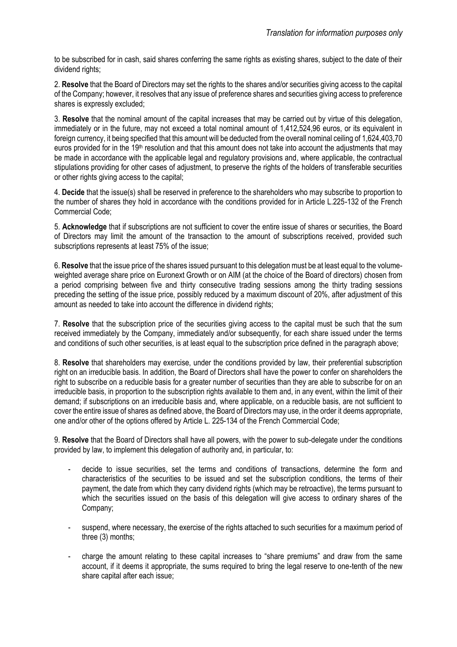to be subscribed for in cash, said shares conferring the same rights as existing shares, subject to the date of their dividend rights;

2. **Resolve** that the Board of Directors may set the rights to the shares and/or securities giving access to the capital of the Company; however, it resolves that any issue of preference shares and securities giving access to preference shares is expressly excluded;

3. **Resolve** that the nominal amount of the capital increases that may be carried out by virtue of this delegation, immediately or in the future, may not exceed a total nominal amount of 1,412,524,96 euros, or its equivalent in foreign currency, it being specified that this amount will be deducted from the overall nominal ceiling of 1,624,403,70 euros provided for in the 19th resolution and that this amount does not take into account the adjustments that may be made in accordance with the applicable legal and regulatory provisions and, where applicable, the contractual stipulations providing for other cases of adjustment, to preserve the rights of the holders of transferable securities or other rights giving access to the capital;

4. **Decide** that the issue(s) shall be reserved in preference to the shareholders who may subscribe to proportion to the number of shares they hold in accordance with the conditions provided for in Article L.225-132 of the French Commercial Code;

5. **Acknowledge** that if subscriptions are not sufficient to cover the entire issue of shares or securities, the Board of Directors may limit the amount of the transaction to the amount of subscriptions received, provided such subscriptions represents at least 75% of the issue;

6. **Resolve** that the issue price of the shares issued pursuant to this delegation must be at least equal to the volumeweighted average share price on Euronext Growth or on AIM (at the choice of the Board of directors) chosen from a period comprising between five and thirty consecutive trading sessions among the thirty trading sessions preceding the setting of the issue price, possibly reduced by a maximum discount of 20%, after adjustment of this amount as needed to take into account the difference in dividend rights;

7. **Resolve** that the subscription price of the securities giving access to the capital must be such that the sum received immediately by the Company, immediately and/or subsequently, for each share issued under the terms and conditions of such other securities, is at least equal to the subscription price defined in the paragraph above;

8. **Resolve** that shareholders may exercise, under the conditions provided by law, their preferential subscription right on an irreducible basis. In addition, the Board of Directors shall have the power to confer on shareholders the right to subscribe on a reducible basis for a greater number of securities than they are able to subscribe for on an irreducible basis, in proportion to the subscription rights available to them and, in any event, within the limit of their demand; if subscriptions on an irreducible basis and, where applicable, on a reducible basis, are not sufficient to cover the entire issue of shares as defined above, the Board of Directors may use, in the order it deems appropriate, one and/or other of the options offered by Article L. 225-134 of the French Commercial Code;

9. **Resolve** that the Board of Directors shall have all powers, with the power to sub-delegate under the conditions provided by law, to implement this delegation of authority and, in particular, to:

- decide to issue securities, set the terms and conditions of transactions, determine the form and characteristics of the securities to be issued and set the subscription conditions, the terms of their payment, the date from which they carry dividend rights (which may be retroactive), the terms pursuant to which the securities issued on the basis of this delegation will give access to ordinary shares of the Company;
- suspend, where necessary, the exercise of the rights attached to such securities for a maximum period of three (3) months;
- charge the amount relating to these capital increases to "share premiums" and draw from the same account, if it deems it appropriate, the sums required to bring the legal reserve to one-tenth of the new share capital after each issue;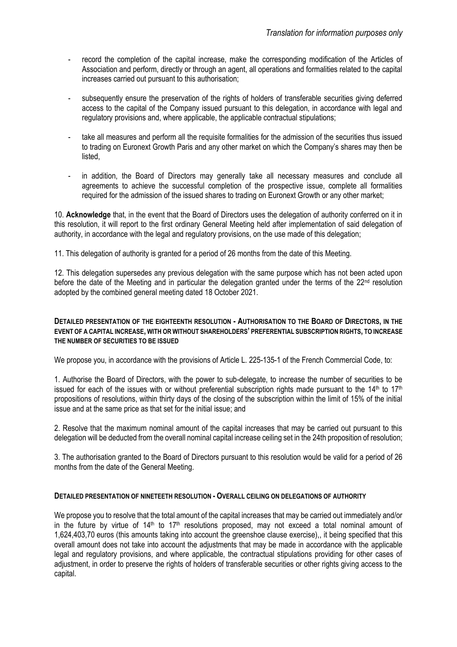- record the completion of the capital increase, make the corresponding modification of the Articles of Association and perform, directly or through an agent, all operations and formalities related to the capital increases carried out pursuant to this authorisation;
- subsequently ensure the preservation of the rights of holders of transferable securities giving deferred access to the capital of the Company issued pursuant to this delegation, in accordance with legal and regulatory provisions and, where applicable, the applicable contractual stipulations;
- take all measures and perform all the requisite formalities for the admission of the securities thus issued to trading on Euronext Growth Paris and any other market on which the Company's shares may then be listed,
- in addition, the Board of Directors may generally take all necessary measures and conclude all agreements to achieve the successful completion of the prospective issue, complete all formalities required for the admission of the issued shares to trading on Euronext Growth or any other market;

10. **Acknowledge** that, in the event that the Board of Directors uses the delegation of authority conferred on it in this resolution, it will report to the first ordinary General Meeting held after implementation of said delegation of authority, in accordance with the legal and regulatory provisions, on the use made of this delegation;

11. This delegation of authority is granted for a period of 26 months from the date of this Meeting.

12. This delegation supersedes any previous delegation with the same purpose which has not been acted upon before the date of the Meeting and in particular the delegation granted under the terms of the 22<sup>nd</sup> resolution adopted by the combined general meeting dated 18 October 2021.

#### **DETAILED PRESENTATION OF THE EIGHTEENTH RESOLUTION - AUTHORISATION TO THE BOARD OF DIRECTORS, IN THE EVENT OF A CAPITAL INCREASE, WITH OR WITHOUT SHAREHOLDERS' PREFERENTIAL SUBSCRIPTION RIGHTS, TO INCREASE THE NUMBER OF SECURITIES TO BE ISSUED**

We propose you, in accordance with the provisions of Article L. 225-135-1 of the French Commercial Code, to:

1. Authorise the Board of Directors, with the power to sub-delegate, to increase the number of securities to be issued for each of the issues with or without preferential subscription rights made pursuant to the  $14<sup>th</sup>$  to  $17<sup>th</sup>$ propositions of resolutions, within thirty days of the closing of the subscription within the limit of 15% of the initial issue and at the same price as that set for the initial issue; and

2. Resolve that the maximum nominal amount of the capital increases that may be carried out pursuant to this delegation will be deducted from the overall nominal capital increase ceiling set in the 24th proposition of resolution;

3. The authorisation granted to the Board of Directors pursuant to this resolution would be valid for a period of 26 months from the date of the General Meeting.

#### **DETAILED PRESENTATION OF NINETEETH RESOLUTION - OVERALL CEILING ON DELEGATIONS OF AUTHORITY**

We propose you to resolve that the total amount of the capital increases that may be carried out immediately and/or in the future by virtue of  $14<sup>th</sup>$  to  $17<sup>th</sup>$  resolutions proposed, may not exceed a total nominal amount of 1,624,403,70 euros (this amounts taking into account the greenshoe clause exercise),, it being specified that this overall amount does not take into account the adjustments that may be made in accordance with the applicable legal and regulatory provisions, and where applicable, the contractual stipulations providing for other cases of adjustment, in order to preserve the rights of holders of transferable securities or other rights giving access to the capital.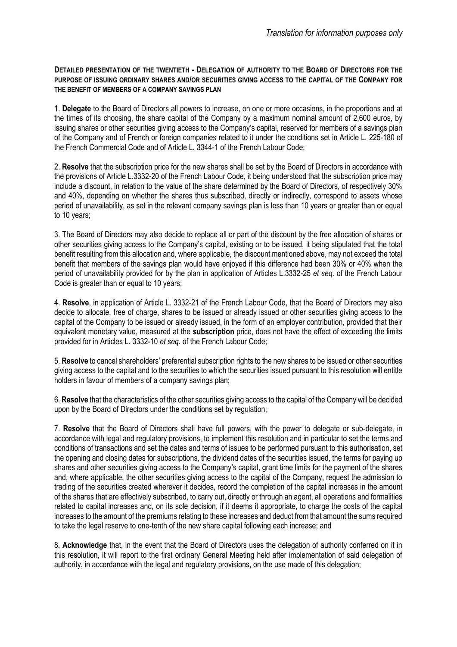**DETAILED PRESENTATION OF THE TWENTIETH - DELEGATION OF AUTHORITY TO THE BOARD OF DIRECTORS FOR THE PURPOSE OF ISSUING ORDINARY SHARES AND/OR SECURITIES GIVING ACCESS TO THE CAPITAL OF THE COMPANY FOR THE BENEFIT OF MEMBERS OF A COMPANY SAVINGS PLAN**

1. **Delegate** to the Board of Directors all powers to increase, on one or more occasions, in the proportions and at the times of its choosing, the share capital of the Company by a maximum nominal amount of 2,600 euros, by issuing shares or other securities giving access to the Company's capital, reserved for members of a savings plan of the Company and of French or foreign companies related to it under the conditions set in Article L. 225-180 of the French Commercial Code and of Article L. 3344-1 of the French Labour Code;

2. **Resolve** that the subscription price for the new shares shall be set by the Board of Directors in accordance with the provisions of Article L.3332-20 of the French Labour Code, it being understood that the subscription price may include a discount, in relation to the value of the share determined by the Board of Directors, of respectively 30% and 40%, depending on whether the shares thus subscribed, directly or indirectly, correspond to assets whose period of unavailability, as set in the relevant company savings plan is less than 10 years or greater than or equal to 10 years;

3. The Board of Directors may also decide to replace all or part of the discount by the free allocation of shares or other securities giving access to the Company's capital, existing or to be issued, it being stipulated that the total benefit resulting from this allocation and, where applicable, the discount mentioned above, may not exceed the total benefit that members of the savings plan would have enjoyed if this difference had been 30% or 40% when the period of unavailability provided for by the plan in application of Articles L.3332-25 *et seq*. of the French Labour Code is greater than or equal to 10 years;

4. **Resolve**, in application of Article L. 3332-21 of the French Labour Code, that the Board of Directors may also decide to allocate, free of charge, shares to be issued or already issued or other securities giving access to the capital of the Company to be issued or already issued, in the form of an employer contribution, provided that their equivalent monetary value, measured at the **subscription** price, does not have the effect of exceeding the limits provided for in Articles L. 3332-10 *et seq*. of the French Labour Code;

5. **Resolve** to cancel shareholders' preferential subscription rights to the new shares to be issued or other securities giving access to the capital and to the securities to which the securities issued pursuant to this resolution will entitle holders in favour of members of a company savings plan;

6. **Resolve** that the characteristics of the other securities giving access to the capital of the Company will be decided upon by the Board of Directors under the conditions set by regulation;

7. **Resolve** that the Board of Directors shall have full powers, with the power to delegate or sub-delegate, in accordance with legal and regulatory provisions, to implement this resolution and in particular to set the terms and conditions of transactions and set the dates and terms of issues to be performed pursuant to this authorisation, set the opening and closing dates for subscriptions, the dividend dates of the securities issued, the terms for paying up shares and other securities giving access to the Company's capital, grant time limits for the payment of the shares and, where applicable, the other securities giving access to the capital of the Company, request the admission to trading of the securities created wherever it decides, record the completion of the capital increases in the amount of the shares that are effectively subscribed, to carry out, directly or through an agent, all operations and formalities related to capital increases and, on its sole decision, if it deems it appropriate, to charge the costs of the capital increases to the amount of the premiums relating to these increases and deduct from that amount the sums required to take the legal reserve to one-tenth of the new share capital following each increase; and

8. **Acknowledge** that, in the event that the Board of Directors uses the delegation of authority conferred on it in this resolution, it will report to the first ordinary General Meeting held after implementation of said delegation of authority, in accordance with the legal and regulatory provisions, on the use made of this delegation;